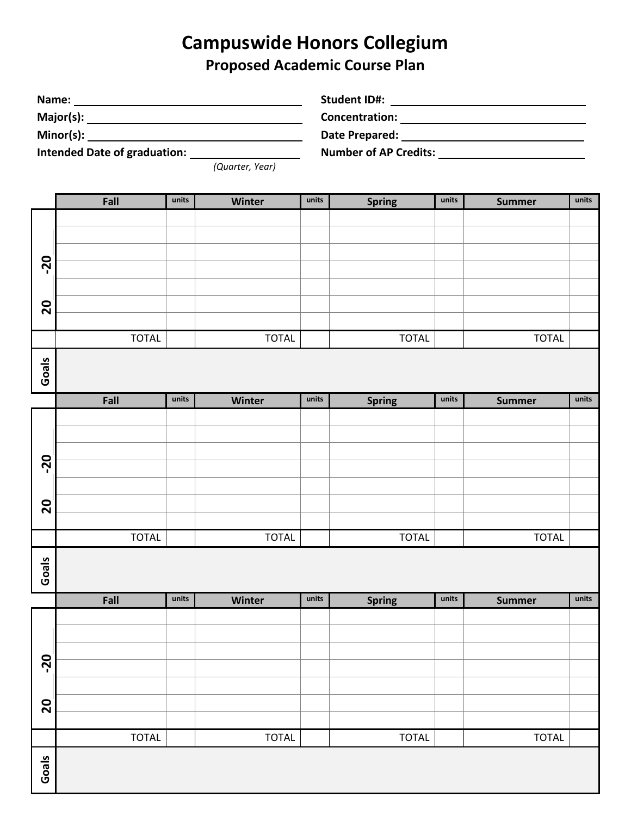## **Campuswide Honors Collegium Proposed Academic Course Plan**

| Name:<br>Intended Date of graduation: <u>Cauarter</u> , Year) |              |       |              |       |               |       |               |       |  |
|---------------------------------------------------------------|--------------|-------|--------------|-------|---------------|-------|---------------|-------|--|
|                                                               | Fall         | units | Winter       | units | <b>Spring</b> | units | <b>Summer</b> | units |  |
| $\overline{20}$<br>$\overline{20}$                            |              |       |              |       |               |       |               |       |  |
|                                                               | <b>TOTAL</b> |       | <b>TOTAL</b> |       | <b>TOTAL</b>  |       | <b>TOTAL</b>  |       |  |
| Goals                                                         |              |       |              |       |               |       |               |       |  |
|                                                               | Fall         | units | Winter       | units | <b>Spring</b> | units | <b>Summer</b> | units |  |
| -20<br>$\overline{20}$                                        |              |       |              |       |               |       |               |       |  |
|                                                               | <b>TOTAL</b> |       | <b>TOTAL</b> |       | <b>TOTAL</b>  |       | <b>TOTAL</b>  |       |  |
| Goals                                                         |              |       |              |       |               |       |               |       |  |
|                                                               | Fall         | units | Winter       | units | <b>Spring</b> | units | <b>Summer</b> | units |  |
| $\overline{20}$<br>$\mathbf{S}$                               |              |       |              |       |               |       |               |       |  |
|                                                               | <b>TOTAL</b> |       | <b>TOTAL</b> |       | <b>TOTAL</b>  |       | <b>TOTAL</b>  |       |  |
| Goals                                                         |              |       |              |       |               |       |               |       |  |